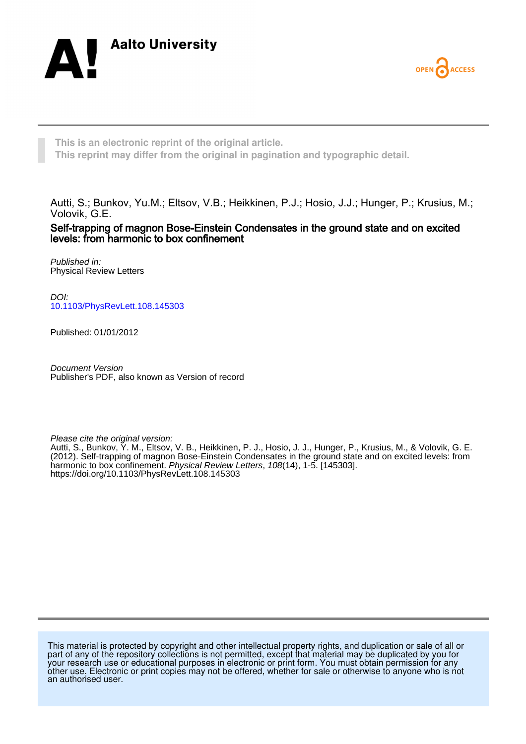



**This is an electronic reprint of the original article. This reprint may differ from the original in pagination and typographic detail.**

Autti, S.; Bunkov, Yu.M.; Eltsov, V.B.; Heikkinen, P.J.; Hosio, J.J.; Hunger, P.; Krusius, M.; Volovik, G.E.

Self-trapping of magnon Bose-Einstein Condensates in the ground state and on excited levels: from harmonic to box confinement

Published in: Physical Review Letters

DOI: [10.1103/PhysRevLett.108.145303](https://doi.org/10.1103/PhysRevLett.108.145303)

Published: 01/01/2012

Document Version Publisher's PDF, also known as Version of record

Please cite the original version:

Autti, S., Bunkov, Y. M., Eltsov, V. B., Heikkinen, P. J., Hosio, J. J., Hunger, P., Krusius, M., & Volovik, G. E. (2012). Self-trapping of magnon Bose-Einstein Condensates in the ground state and on excited levels: from harmonic to box confinement. Physical Review Letters, 108(14), 1-5. [145303]. <https://doi.org/10.1103/PhysRevLett.108.145303>

This material is protected by copyright and other intellectual property rights, and duplication or sale of all or part of any of the repository collections is not permitted, except that material may be duplicated by you for your research use or educational purposes in electronic or print form. You must obtain permission for any other use. Electronic or print copies may not be offered, whether for sale or otherwise to anyone who is not an authorised user.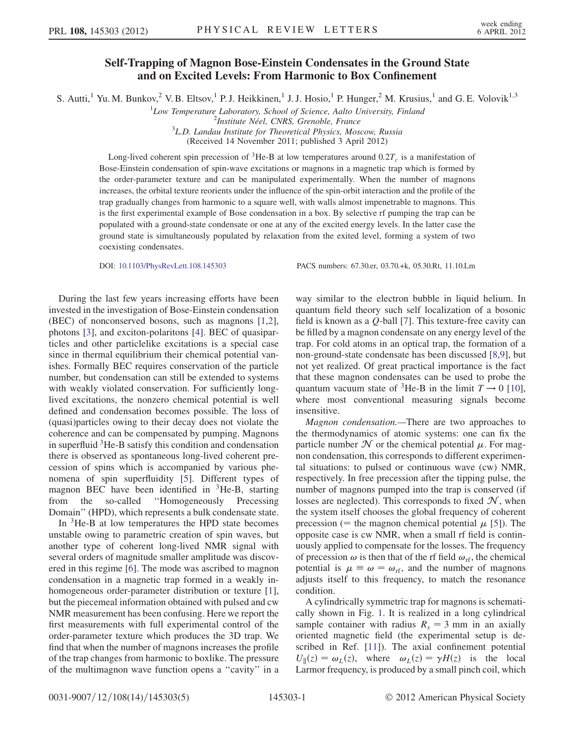## Self-Trapping of Magnon Bose-Einstein Condensates in the Ground State and on Excited Levels: From Harmonic to Box Confinement

S. Autti,<sup>1</sup> Yu. M. Bunkov,<sup>2</sup> V. B. Eltsov,<sup>1</sup> P. J. Heikkinen,<sup>1</sup> J. J. Hosio,<sup>1</sup> P. Hunger,<sup>2</sup> M. Krusius,<sup>1</sup> and G. E. Volovik<sup>1,3</sup>

<sup>1</sup>Low Temperature Laboratory, School of Science, Aalto University, Finland <sup>2</sup>Institute Néel, CNBS, Cranoble, France

 $\mu^2$ Institute Néel, CNRS, Grenoble, France

 ${}^{3}$ L.D. Landau Institute for Theoretical Physics, Moscow, Russia

(Received 14 November 2011; published 3 April 2012)

Long-lived coherent spin precession of <sup>3</sup>He-B at low temperatures around  $0.2T_c$  is a manifestation of Bose-Einstein condensation of spin-wave excitations or magnons in a magnetic trap which is formed by the order-parameter texture and can be manipulated experimentally. When the number of magnons increases, the orbital texture reorients under the influence of the spin-orbit interaction and the profile of the trap gradually changes from harmonic to a square well, with walls almost impenetrable to magnons. This is the first experimental example of Bose condensation in a box. By selective rf pumping the trap can be populated with a ground-state condensate or one at any of the excited energy levels. In the latter case the ground state is simultaneously populated by relaxation from the exited level, forming a system of two coexisting condensates.

DOI: [10.1103/PhysRevLett.108.145303](http://dx.doi.org/10.1103/PhysRevLett.108.145303) PACS numbers: 67.30.er, 03.70.+k, 05.30.Rt, 11.10.Lm

During the last few years increasing efforts have been invested in the investigation of Bose-Einstein condensation (BEC) of nonconserved bosons, such as magnons [[1](#page-5-0),[2\]](#page-5-1), photons [[3](#page-5-2)], and exciton-polaritons [[4](#page-5-3)]. BEC of quasiparticles and other particlelike excitations is a special case since in thermal equilibrium their chemical potential vanishes. Formally BEC requires conservation of the particle number, but condensation can still be extended to systems with weakly violated conservation. For sufficiently longlived excitations, the nonzero chemical potential is well defined and condensation becomes possible. The loss of (quasi)particles owing to their decay does not violate the coherence and can be compensated by pumping. Magnons in superfluid 3He-B satisfy this condition and condensation there is observed as spontaneous long-lived coherent precession of spins which is accompanied by various phenomena of spin superfluidity [[5\]](#page-5-4). Different types of magnon BEC have been identified in <sup>3</sup>He-B, starting from the so-called ''Homogeneously Precessing Domain'' (HPD), which represents a bulk condensate state.

In 3He-B at low temperatures the HPD state becomes unstable owing to parametric creation of spin waves, but another type of coherent long-lived NMR signal with several orders of magnitude smaller amplitude was discovered in this regime [[6](#page-5-5)]. The mode was ascribed to magnon condensation in a magnetic trap formed in a weakly in-homogeneous order-parameter distribution or texture [[1\]](#page-5-0), but the piecemeal information obtained with pulsed and cw NMR measurement has been confusing. Here we report the first measurements with full experimental control of the order-parameter texture which produces the 3D trap. We find that when the number of magnons increases the profile of the trap changes from harmonic to boxlike. The pressure of the multimagnon wave function opens a ''cavity'' in a

way similar to the electron bubble in liquid helium. In quantum field theory such self localization of a bosonic field is known as a  $Q$ -ball [[7](#page-5-6)]. This texture-free cavity can be filled by a magnon condensate on any energy level of the trap. For cold atoms in an optical trap, the formation of a non-ground-state condensate has been discussed [[8,](#page-5-7)[9\]](#page-5-8), but not yet realized. Of great practical importance is the fact that these magnon condensates can be used to probe the quantum vacuum state of <sup>3</sup>He-B in the limit  $T \rightarrow 0$  [[10\]](#page-5-9), where most conventional measuring signals become insensitive.

Magnon condensation.—There are two approaches to the thermodynamics of atomic systems: one can fix the particle number  $\mathcal N$  or the chemical potential  $\mu$ . For magnon condensation, this corresponds to different experimental situations: to pulsed or continuous wave (cw) NMR, respectively. In free precession after the tipping pulse, the number of magnons pumped into the trap is conserved (if losses are neglected). This corresponds to fixed  $\mathcal{N}$ , when the system itself chooses the global frequency of coherent precession (= the magnon chemical potential  $\mu$  [[5](#page-5-4)]). The opposite case is cw NMR, when a small rf field is continuously applied to compensate for the losses. The frequency of precession  $\omega$  is then that of the rf field  $\omega_{\text{rf}}$ , the chemical potential is  $\mu \equiv \omega = \omega_{\text{rf}}$ , and the number of magnons adjusts itself to this frequency, to match the resonance condition.

A cylindrically symmetric trap for magnons is schematically shown in Fig. [1.](#page-2-0) It is realized in a long cylindrical sample container with radius  $R_s = 3$  mm in an axially oriented magnetic field (the experimental setup is described in Ref. [[11](#page-5-10)]). The axial confinement potential  $U_{\parallel}(z) = \omega_L(z)$ , where  $\omega_L(z) = \gamma H(z)$  is the local Larmor frequency, is produced by a small pinch coil, which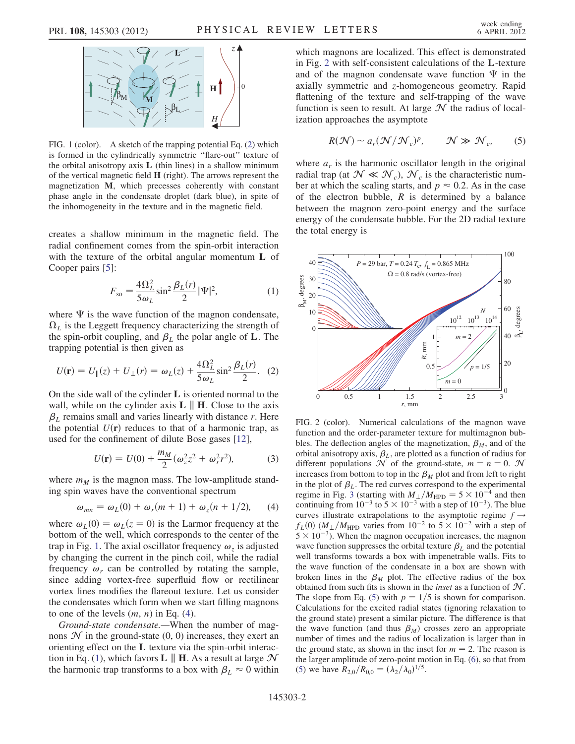<span id="page-2-0"></span>

FIG. 1 (color). A sketch of the trapping potential Eq. ([2\)](#page-2-5) which is formed in the cylindrically symmetric ''flare-out'' texture of the orbital anisotropy axis  $L$  (thin lines) in a shallow minimum of the vertical magnetic field H (right). The arrows represent the magnetization M, which precesses coherently with constant phase angle in the condensate droplet (dark blue), in spite of the inhomogeneity in the texture and in the magnetic field.

<span id="page-2-2"></span>creates a shallow minimum in the magnetic field. The radial confinement comes from the spin-orbit interaction with the texture of the orbital angular momentum L of Cooper pairs [[5\]](#page-5-4):

$$
F_{\rm so} = \frac{4\Omega_L^2}{5\omega_L} \sin^2 \frac{\beta_L(r)}{2} |\Psi|^2,
$$
 (1)

where  $\Psi$  is the wave function of the magnon condensate,  $\Omega_L$  is the Leggett frequency characterizing the strength of the spin-orbit coupling, and  $\beta_L$  the polar angle of L. The trapping potential is then given as

<span id="page-2-5"></span>
$$
U(\mathbf{r}) = U_{\parallel}(z) + U_{\perp}(r) = \omega_L(z) + \frac{4\Omega_L^2}{5\omega_L} \sin^2 \frac{\beta_L(r)}{2}.
$$
 (2)

On the side wall of the cylinder L is oriented normal to the wall, while on the cylinder axis  $\bf{L} \parallel \bf{H}$ . Close to the axis  $\beta_L$  remains small and varies linearly with distance r. Here the potential  $U(\mathbf{r})$  reduces to that of a harmonic trap, as used for the confinement of dilute Bose gases [[12](#page-5-11)],

$$
U(\mathbf{r}) = U(0) + \frac{m_M}{2} (\omega_z^2 z^2 + \omega_r^2 r^2),
$$
 (3)

<span id="page-2-1"></span>where  $m_M$  is the magnon mass. The low-amplitude standing spin waves have the conventional spectrum

$$
\omega_{mn} = \omega_L(0) + \omega_r(m+1) + \omega_z(n+1/2), \qquad (4)
$$

where  $\omega_L(0) = \omega_L(z = 0)$  is the Larmor frequency at the bottom of the well, which corresponds to the center of the trap in Fig. [1.](#page-2-0) The axial oscillator frequency  $\omega_z$  is adjusted by changing the current in the pinch coil, while the radial frequency  $\omega_r$  can be controlled by rotating the sample, since adding vortex-free superfluid flow or rectilinear vortex lines modifies the flareout texture. Let us consider the condensates which form when we start filling magnons to one of the levels  $(m, n)$  in Eq. ([4\)](#page-2-1).

Ground-state condensate.—When the number of magnons  $\mathcal N$  in the ground-state  $(0, 0)$  increases, they exert an orienting effect on the L texture via the spin-orbit interac-tion in Eq. [\(1](#page-2-2)), which favors **L**  $\parallel$  **H**. As a result at large  $\mathcal{N}$ the harmonic trap transforms to a box with  $\beta_L \approx 0$  within which magnons are localized. This effect is demonstrated in Fig. [2](#page-2-3) with self-consistent calculations of the L-texture and of the magnon condensate wave function  $\Psi$  in the axially symmetric and z-homogeneous geometry. Rapid flattening of the texture and self-trapping of the wave function is seen to result. At large  $\mathcal N$  the radius of localization approaches the asymptote

<span id="page-2-4"></span>
$$
R(\mathcal{N}) \sim a_r(\mathcal{N}/\mathcal{N}_c)^p, \qquad \mathcal{N} \gg \mathcal{N}_c, \qquad (5)
$$

where  $a_r$  is the harmonic oscillator length in the original radial trap (at  $\mathcal{N} \ll \mathcal{N}_c$ ),  $\mathcal{N}_c$  is the characteristic number at which the scaling starts, and  $p \approx 0.2$ . As in the case of the electron bubble,  $R$  is determined by a balance between the magnon zero-point energy and the surface energy of the condensate bubble. For the 2D radial texture the total energy is

<span id="page-2-3"></span>

FIG. 2 (color). Numerical calculations of the magnon wave function and the order-parameter texture for multimagnon bubbles. The deflection angles of the magnetization,  $\beta_M$ , and of the orbital anisotropy axis,  $\beta_L$ , are plotted as a function of radius for different populations  $\mathcal N$  of the ground-state,  $m = n = 0$ .  $\mathcal N$ increases from bottom to top in the  $\beta_M$  plot and from left to right in the plot of  $\beta_L$ . The red curves correspond to the experimental regime in Fig. [3](#page-3-0) (starting with  $M_{\perp}/M_{\text{HPD}} = 5 \times 10^{-4}$  and then continuing from  $10^{-3}$  to  $5 \times 10^{-3}$  with a step of  $10^{-3}$ ). The blue curves illustrate extrapolations to the asymptotic regime  $f \rightarrow$  $f_L(0)$  ( $M_{\perp}/M_{\text{HPD}}$  varies from  $10^{-2}$  to  $5 \times 10^{-2}$  with a step of  $5 \times 10^{-3}$ ). When the magnon occupation increases, the magnon wave function suppresses the orbital texture  $\beta_L$  and the potential well transforms towards a box with impenetrable walls. Fits to the wave function of the condensate in a box are shown with broken lines in the  $\beta_M$  plot. The effective radius of the box obtained from such fits is shown in the *inset* as a function of  $N$ . The slope from Eq. [\(5\)](#page-2-4) with  $p = 1/5$  is shown for comparison. Calculations for the excited radial states (ignoring relaxation to the ground state) present a similar picture. The difference is that the wave function (and thus  $\beta_M$ ) crosses zero an appropriate number of times and the radius of localization is larger than in the ground state, as shown in the inset for  $m = 2$ . The reason is the larger amplitude of zero-point motion in Eq. ([6\)](#page-3-1), so that from [\(5\)](#page-2-4) we have  $R_{2,0}/R_{0,0} = (\lambda_2/\lambda_0)^{1/5}$ .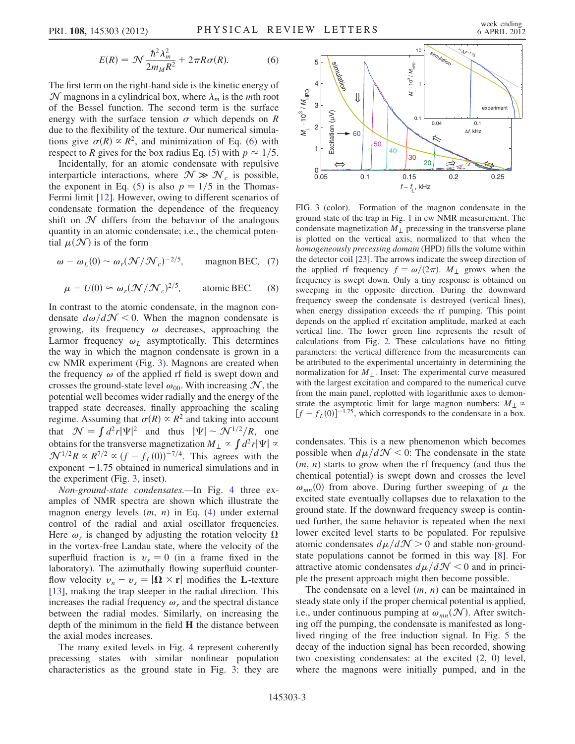$$
E(R) = \mathcal{N} \frac{\hbar^2 \lambda_m^2}{2m_M R^2} + 2\pi R \sigma(R). \tag{6}
$$

<span id="page-3-1"></span>The first term on the right-hand side is the kinetic energy of  $\mathcal N$  magnons in a cylindrical box, where  $\lambda_m$  is the *mth* root of the Bessel function. The second term is the surface energy with the surface tension  $\sigma$  which depends on R due to the flexibility of the texture. Our numerical simulations give  $\sigma(R) \propto R^2$ , and minimization of Eq. [\(6\)](#page-3-1) with respect to R gives for the box radius Eq. [\(5\)](#page-2-4) with  $p \approx 1/5$ .

Incidentally, for an atomic condensate with repulsive interparticle interactions, where  $\mathcal{N} \gg \mathcal{N}_c$  is possible, the exponent in Eq. [\(5](#page-2-4)) is also  $p = 1/5$  in the Thomas-Fermi limit [[12](#page-5-11)]. However, owing to different scenarios of condensate formation the dependence of the frequency shift on  $\mathcal N$  differs from the behavior of the analogous quantity in an atomic condensate; i.e., the chemical potential  $\mu(\mathcal{N})$  is of the form

$$
\omega - \omega_L(0) \sim \omega_r(\mathcal{N}/\mathcal{N}_c)^{-2/5}
$$
, magnon BEC, (7)

$$
\mu - U(0) \approx \omega_r (\mathcal{N} / \mathcal{N}_c)^{2/5}, \quad \text{atomic BEC.} \quad (8)
$$

<span id="page-3-2"></span>In contrast to the atomic condensate, in the magnon condensate  $d\omega/d\mathcal{N}$  < 0. When the magnon condensate is growing, its frequency  $\omega$  decreases, approaching the Larmor frequency  $\omega_L$  asymptotically. This determines the way in which the magnon condensate is grown in a cw NMR experiment (Fig. [3](#page-3-0)). Magnons are created when the frequency  $\omega$  of the applied rf field is swept down and crosses the ground-state level  $\omega_{00}$ . With increasing  $\mathcal{N}$ , the potential well becomes wider radially and the energy of the trapped state decreases, finally approaching the scaling regime. Assuming that  $\sigma(R) \propto R^2$  and taking into account that  $\mathcal{N} = \int d^2r |\Psi|^2$  and thus  $|\Psi| \sim \mathcal{N}^{1/2}/R$ , one obtains for the transverse magnetization  $M_{\perp} \propto \int d^2 r |\Psi| \propto$  $\mathcal{N}^{1/2}R \propto R^{7/2} \propto (f - f_L(0))^{-7/4}$ . This agrees with the exponent  $-1.75$  obtained in numerical simulations and in the experiment (Fig. [3](#page-3-0), inset).

Non-ground-state condensates.—In Fig. [4](#page-4-0) three examples of NMR spectra are shown which illustrate the magnon energy levels  $(m, n)$  in Eq. [\(4](#page-2-1)) under external control of the radial and axial oscillator frequencies. Here  $\omega_r$  is changed by adjusting the rotation velocity  $\Omega$ in the vortex-free Landau state, where the velocity of the superfluid fraction is  $v_s = 0$  (in a frame fixed in the laboratory). The azimuthally flowing superfluid counterflow velocity  $v_n - v_s = |\mathbf{\Omega} \times \mathbf{r}|$  modifies the L-texture [\[13\]](#page-5-12), making the trap steeper in the radial direction. This increases the radial frequency  $\omega_r$  and the spectral distance between the radial modes. Similarly, on increasing the depth of the minimum in the field H the distance between the axial modes increases.

The many exited levels in Fig. [4](#page-4-0) represent coherently precessing states with similar nonlinear population characteristics as the ground state in Fig. [3:](#page-3-0) they are

<span id="page-3-0"></span>

FIG. 3 (color). Formation of the magnon condensate in the ground state of the trap in Fig. [1](#page-2-0) in cw NMR measurement. The condensate magnetization  $M_{\perp}$  precessing in the transverse plane is plotted on the vertical axis, normalized to that when the homogeneously precessing domain (HPD) fills the volume within the detector coil [[23](#page-5-13)]. The arrows indicate the sweep direction of the applied rf frequency  $f = \omega/(2\pi)$ . M<sub>1</sub> grows when the frequency is swept down. Only a tiny response is obtained on sweeping in the opposite direction. During the downward frequency sweep the condensate is destroyed (vertical lines), when energy dissipation exceeds the rf pumping. This point depends on the applied rf excitation amplitude, marked at each vertical line. The lower green line represents the result of calculations from Fig. [2.](#page-2-3) These calculations have no fitting parameters: the vertical difference from the measurements can be attributed to the experimental uncertainty in determining the normalization for  $M_{\perp}$ . Inset: The experimental curve measured with the largest excitation and compared to the numerical curve from the main panel, replotted with logarithmic axes to demonstrate the asymptotic limit for large magnon numbers:  $M_{\perp} \propto$  $[f - f_L(0)]^{-1.75}$ , which corresponds to the condensate in a box.

condensates. This is a new phenomenon which becomes possible when  $d\mu/d\mathcal{N} < 0$ : The condensate in the state  $(m, n)$  starts to grow when the rf frequency (and thus the chemical potential) is swept down and crosses the level  $\omega_{mn}(0)$  from above. During further sweeping of  $\mu$  the excited state eventually collapses due to relaxation to the ground state. If the downward frequency sweep is continued further, the same behavior is repeated when the next lower excited level starts to be populated. For repulsive atomic condensates  $d\mu/dN > 0$  and stable non-groundstate populations cannot be formed in this way [\[8](#page-5-7)]. For attractive atomic condensates  $d\mu/d\mathcal{N} < 0$  and in principle the present approach might then become possible.

The condensate on a level  $(m, n)$  can be maintained in steady state only if the proper chemical potential is applied, i.e., under continuous pumping at  $\omega_{mn}(\mathcal{N})$ . After switching off the pumping, the condensate is manifested as longlived ringing of the free induction signal. In Fig. [5](#page-4-1) the decay of the induction signal has been recorded, showing two coexisting condensates: at the excited (2, 0) level, where the magnons were initially pumped, and in the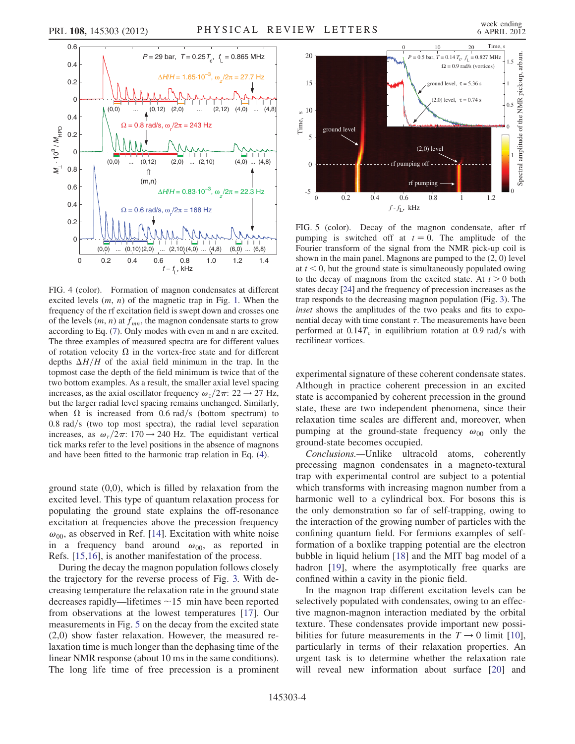<span id="page-4-0"></span>

FIG. 4 (color). Formation of magnon condensates at different excited levels  $(m, n)$  of the magnetic trap in Fig. [1](#page-2-0). When the frequency of the rf excitation field is swept down and crosses one of the levels  $(m, n)$  at  $f_{mn}$ , the magnon condensate starts to grow according to Eq. ([7\)](#page-3-2). Only modes with even m and n are excited. The three examples of measured spectra are for different values of rotation velocity  $\Omega$  in the vortex-free state and for different depths  $\Delta H/H$  of the axial field minimum in the trap. In the topmost case the depth of the field minimum is twice that of the two bottom examples. As a result, the smaller axial level spacing increases, as the axial oscillator frequency  $\omega_z/2\pi$ : 22  $\rightarrow$  27 Hz, but the larger radial level spacing remains unchanged. Similarly, when  $\Omega$  is increased from 0.6 rad/s (bottom spectrum) to  $0.8$  rad/s (two top most spectra), the radial level separation increases, as  $\omega_r/2\pi$ : 170  $\rightarrow$  240 Hz. The equidistant vertical tick marks refer to the level positions in the absence of magnons and have been fitted to the harmonic trap relation in Eq. [\(4](#page-2-1)).

ground state (0,0), which is filled by relaxation from the excited level. This type of quantum relaxation process for populating the ground state explains the off-resonance excitation at frequencies above the precession frequency  $\omega_{00}$ , as observed in Ref. [\[14\]](#page-5-14). Excitation with white noise in a frequency band around  $\omega_{00}$ , as reported in Refs. [\[15](#page-5-15)[,16\]](#page-5-16), is another manifestation of the process.

During the decay the magnon population follows closely the trajectory for the reverse process of Fig. [3.](#page-3-0) With decreasing temperature the relaxation rate in the ground state decreases rapidly—lifetimes  $\sim$ 15 min have been reported from observations at the lowest temperatures [\[17\]](#page-5-17). Our measurements in Fig. [5](#page-4-1) on the decay from the excited state (2,0) show faster relaxation. However, the measured relaxation time is much longer than the dephasing time of the linear NMR response (about 10 ms in the same conditions). The long life time of free precession is a prominent

<span id="page-4-1"></span>

FIG. 5 (color). Decay of the magnon condensate, after rf pumping is switched off at  $t = 0$ . The amplitude of the Fourier transform of the signal from the NMR pick-up coil is shown in the main panel. Magnons are pumped to the (2, 0) level at  $t < 0$ , but the ground state is simultaneously populated owing to the decay of magnons from the excited state. At  $t > 0$  both states decay [\[24\]](#page-5-21) and the frequency of precession increases as the trap responds to the decreasing magnon population (Fig. [3](#page-3-0)). The inset shows the amplitudes of the two peaks and fits to exponential decay with time constant  $\tau$ . The measurements have been performed at  $0.14T_c$  in equilibrium rotation at 0.9 rad/s with rectilinear vortices.

experimental signature of these coherent condensate states. Although in practice coherent precession in an excited state is accompanied by coherent precession in the ground state, these are two independent phenomena, since their relaxation time scales are different and, moreover, when pumping at the ground-state frequency  $\omega_{00}$  only the ground-state becomes occupied.

Conclusions.—Unlike ultracold atoms, coherently precessing magnon condensates in a magneto-textural trap with experimental control are subject to a potential which transforms with increasing magnon number from a harmonic well to a cylindrical box. For bosons this is the only demonstration so far of self-trapping, owing to the interaction of the growing number of particles with the confining quantum field. For fermions examples of selfformation of a boxlike trapping potential are the electron bubble in liquid helium [[18](#page-5-18)] and the MIT bag model of a hadron [\[19\]](#page-5-19), where the asymptotically free quarks are confined within a cavity in the pionic field.

In the magnon trap different excitation levels can be selectively populated with condensates, owing to an effective magnon-magnon interaction mediated by the orbital texture. These condensates provide important new possibilities for future measurements in the  $T \rightarrow 0$  limit [[10\]](#page-5-9), particularly in terms of their relaxation properties. An urgent task is to determine whether the relaxation rate will reveal new information about surface [[20](#page-5-20)] and